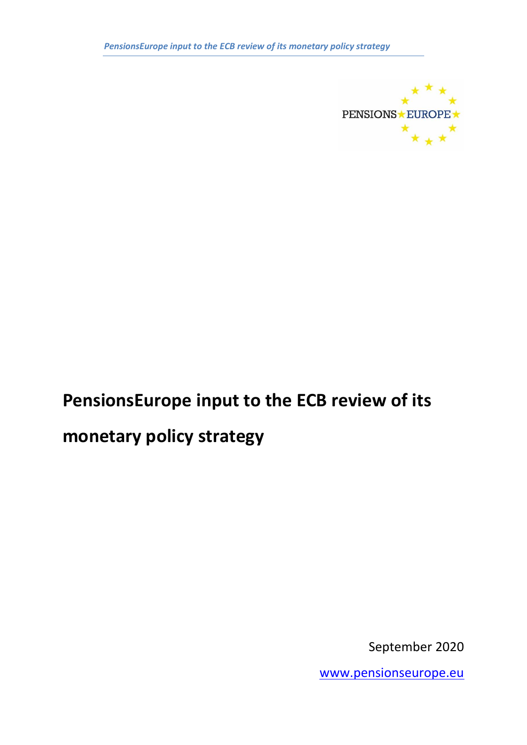*PensionsEurope input to the ECB review of its monetary policy strategy*



# **PensionsEurope input to the ECB review of its**

## **monetary policy strategy**

September 2020

[www.pensionseurope.eu](http://www.pensionseurope.eu/)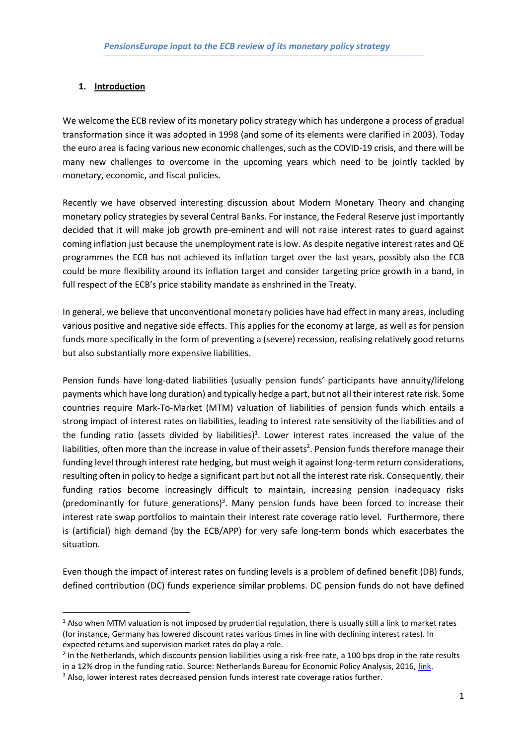## **1. Introduction**

We welcome the ECB review of its monetary policy strategy which has undergone a process of gradual transformation since it was adopted in 1998 (and some of its elements were clarified in 2003). Today the euro area is facing various new economic challenges, such as the COVID-19 crisis, and there will be many new challenges to overcome in the upcoming years which need to be jointly tackled by monetary, economic, and fiscal policies.

Recently we have observed interesting discussion about Modern Monetary Theory and changing monetary policy strategies by several Central Banks. For instance, the Federal Reserve just importantly decided that it will make job growth pre-eminent and will not raise interest rates to guard against coming inflation just because the unemployment rate is low. As despite negative interest rates and QE programmes the ECB has not achieved its inflation target over the last years, possibly also the ECB could be more flexibility around its inflation target and consider targeting price growth in a band, in full respect of the ECB's price stability mandate as enshrined in the Treaty.

In general, we believe that unconventional monetary policies have had effect in many areas, including various positive and negative side effects. This applies for the economy at large, as well as for pension funds more specifically in the form of preventing a (severe) recession, realising relatively good returns but also substantially more expensive liabilities.

Pension funds have long-dated liabilities (usually pension funds' participants have annuity/lifelong payments which have long duration) and typically hedge a part, but not all their interest rate risk. Some countries require Mark-To-Market (MTM) valuation of liabilities of pension funds which entails a strong impact of interest rates on liabilities, leading to interest rate sensitivity of the liabilities and of the funding ratio (assets divided by liabilities)<sup>1</sup>. Lower interest rates increased the value of the liabilities, often more than the increase in value of their assets<sup>2</sup>. Pension funds therefore manage their funding level through interest rate hedging, but must weigh it against long-term return considerations, resulting often in policy to hedge a significant part but not all the interest rate risk. Consequently, their funding ratios become increasingly difficult to maintain, increasing pension inadequacy risks (predominantly for future generations)<sup>3</sup>. Many pension funds have been forced to increase their interest rate swap portfolios to maintain their interest rate coverage ratio level. Furthermore, there is (artificial) high demand (by the ECB/APP) for very safe long-term bonds which exacerbates the situation.

Even though the impact of interest rates on funding levels is a problem of defined benefit (DB) funds, defined contribution (DC) funds experience similar problems. DC pension funds do not have defined

 $1$  Also when MTM valuation is not imposed by prudential regulation, there is usually still a link to market rates (for instance, Germany has lowered discount rates various times in line with declining interest rates). In expected returns and supervision market rates do play a role.

<sup>&</sup>lt;sup>2</sup> In the Netherlands, which discounts pension liabilities using a risk-free rate, a 100 bps drop in the rate results in a 12% drop in the funding ratio. Source: Netherlands Bureau for Economic Policy Analysis, 2016, [link.](https://www.cpb.nl/sites/default/files/omnidownload/CPB-Policy-Brief-2016-12-Pensioen-en-rentegevoeligheid.pdf) <sup>3</sup> Also, lower interest rates decreased pension funds interest rate coverage ratios further.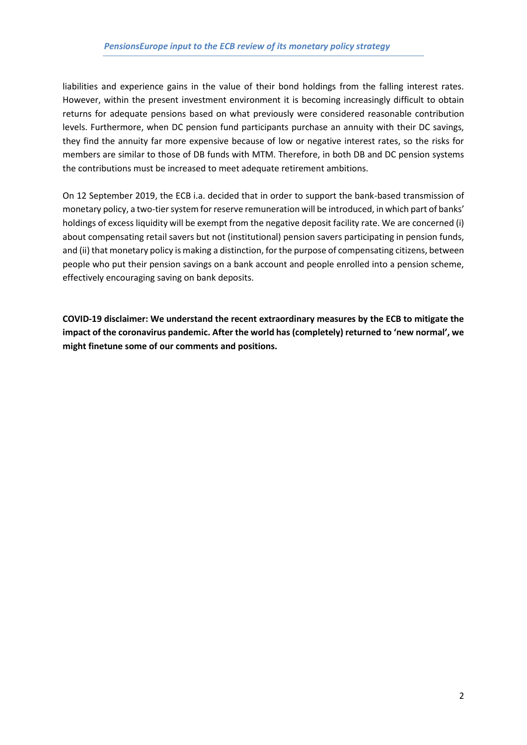liabilities and experience gains in the value of their bond holdings from the falling interest rates. However, within the present investment environment it is becoming increasingly difficult to obtain returns for adequate pensions based on what previously were considered reasonable contribution levels. Furthermore, when DC pension fund participants purchase an annuity with their DC savings, they find the annuity far more expensive because of low or negative interest rates, so the risks for members are similar to those of DB funds with MTM. Therefore, in both DB and DC pension systems the contributions must be increased to meet adequate retirement ambitions.

On 12 September 2019, the ECB i.a. decided that in order to support the bank-based transmission of monetary policy, a two-tier system for reserve remuneration will be introduced, in which part of banks' holdings of excess liquidity will be exempt from the negative deposit facility rate. We are concerned (i) about compensating retail savers but not (institutional) pension savers participating in pension funds, and (ii) that monetary policy is making a distinction, for the purpose of compensating citizens, between people who put their pension savings on a bank account and people enrolled into a pension scheme, effectively encouraging saving on bank deposits.

**COVID-19 disclaimer: We understand the recent extraordinary measures by the ECB to mitigate the impact of the coronavirus pandemic. After the world has (completely) returned to 'new normal', we might finetune some of our comments and positions.**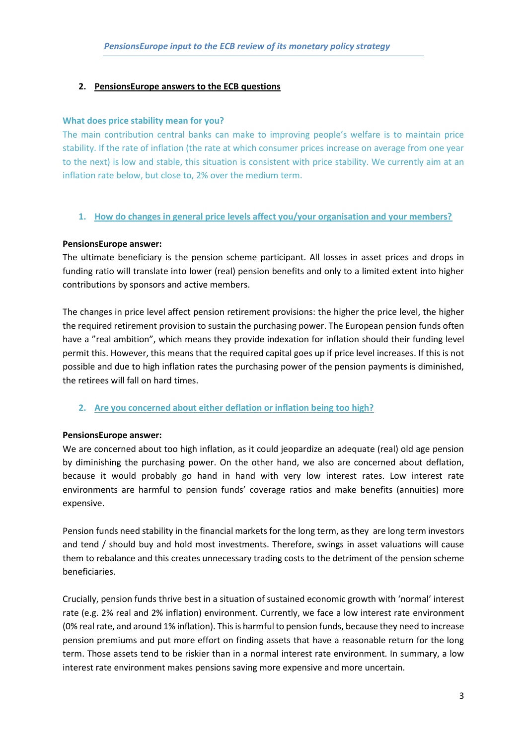## **2. PensionsEurope answers to the ECB questions**

#### **What does price stability mean for you?**

The main contribution central banks can make to improving people's welfare is to maintain price stability. If the rate of inflation (the rate at which consumer prices increase on average from one year to the next) is low and stable, this situation is consistent with price stability. We currently aim at an inflation rate below, but close to, 2% over the medium term.

#### **1. How do changes in general price levels affect you/your organisation and your members?**

#### **PensionsEurope answer:**

The ultimate beneficiary is the pension scheme participant. All losses in asset prices and drops in funding ratio will translate into lower (real) pension benefits and only to a limited extent into higher contributions by sponsors and active members.

The changes in price level affect pension retirement provisions: the higher the price level, the higher the required retirement provision to sustain the purchasing power. The European pension funds often have a "real ambition", which means they provide indexation for inflation should their funding level permit this. However, this means that the required capital goes up if price level increases. If this is not possible and due to high inflation rates the purchasing power of the pension payments is diminished, the retirees will fall on hard times.

#### **2. Are you concerned about either deflation or inflation being too high?**

#### **PensionsEurope answer:**

We are concerned about too high inflation, as it could jeopardize an adequate (real) old age pension by diminishing the purchasing power. On the other hand, we also are concerned about deflation, because it would probably go hand in hand with very low interest rates. Low interest rate environments are harmful to pension funds' coverage ratios and make benefits (annuities) more expensive.

Pension funds need stability in the financial markets for the long term, as they are long term investors and tend / should buy and hold most investments. Therefore, swings in asset valuations will cause them to rebalance and this creates unnecessary trading costs to the detriment of the pension scheme beneficiaries.

Crucially, pension funds thrive best in a situation of sustained economic growth with 'normal' interest rate (e.g. 2% real and 2% inflation) environment. Currently, we face a low interest rate environment (0% real rate, and around 1% inflation). This is harmful to pension funds, because they need to increase pension premiums and put more effort on finding assets that have a reasonable return for the long term. Those assets tend to be riskier than in a normal interest rate environment. In summary, a low interest rate environment makes pensions saving more expensive and more uncertain.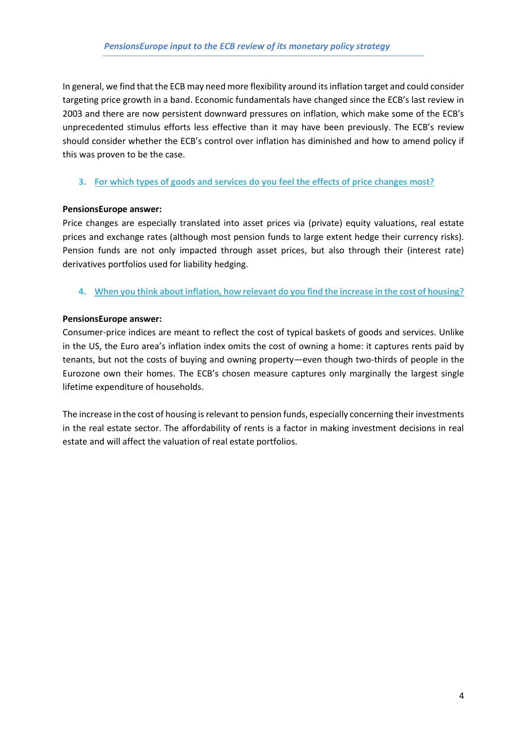In general, we find that the ECB may need more flexibility around its inflation target and could consider targeting price growth in a band. Economic fundamentals have changed since the ECB's last review in 2003 and there are now persistent downward pressures on inflation, which make some of the ECB's unprecedented stimulus efforts less effective than it may have been previously. The ECB's review should consider whether the ECB's control over inflation has diminished and how to amend policy if this was proven to be the case.

## **3. For which types of goods and services do you feel the effects of price changes most?**

## **PensionsEurope answer:**

Price changes are especially translated into asset prices via (private) equity valuations, real estate prices and exchange rates (although most pension funds to large extent hedge their currency risks). Pension funds are not only impacted through asset prices, but also through their (interest rate) derivatives portfolios used for liability hedging.

**4. When you think about inflation, how relevant do you find the increase in the cost of housing?**

## **PensionsEurope answer:**

Consumer-price indices are meant to reflect the cost of typical baskets of goods and services. Unlike in the US, the Euro area's inflation index omits the cost of owning a home: it captures rents paid by tenants, but not the costs of buying and owning property—even though two-thirds of people in the Eurozone own their homes. The ECB's chosen measure captures only marginally the largest single lifetime expenditure of households.

The increase in the cost of housing is relevant to pension funds, especially concerning their investments in the real estate sector. The affordability of rents is a factor in making investment decisions in real estate and will affect the valuation of real estate portfolios.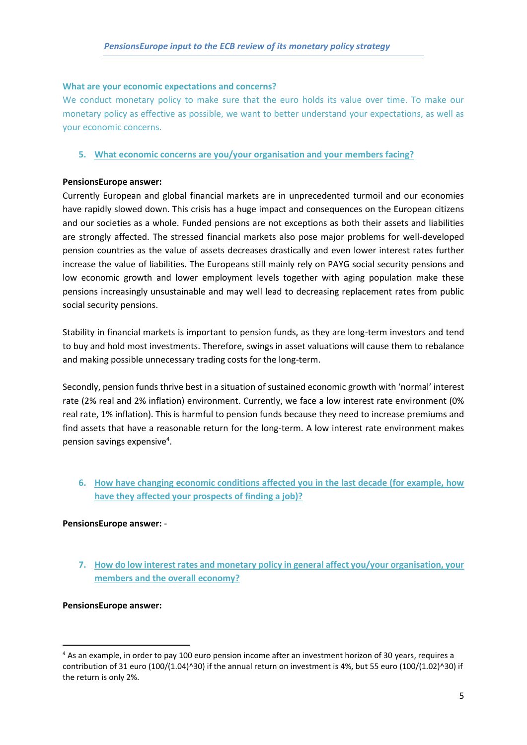#### **What are your economic expectations and concerns?**

We conduct monetary policy to make sure that the euro holds its value over time. To make our monetary policy as effective as possible, we want to better understand your expectations, as well as your economic concerns.

#### **5. What economic concerns are you/your organisation and your members facing?**

#### **PensionsEurope answer:**

Currently European and global financial markets are in unprecedented turmoil and our economies have rapidly slowed down. This crisis has a huge impact and consequences on the European citizens and our societies as a whole. Funded pensions are not exceptions as both their assets and liabilities are strongly affected. The stressed financial markets also pose major problems for well-developed pension countries as the value of assets decreases drastically and even lower interest rates further increase the value of liabilities. The Europeans still mainly rely on PAYG social security pensions and low economic growth and lower employment levels together with aging population make these pensions increasingly unsustainable and may well lead to decreasing replacement rates from public social security pensions.

Stability in financial markets is important to pension funds, as they are long-term investors and tend to buy and hold most investments. Therefore, swings in asset valuations will cause them to rebalance and making possible unnecessary trading costs for the long-term.

Secondly, pension funds thrive best in a situation of sustained economic growth with 'normal' interest rate (2% real and 2% inflation) environment. Currently, we face a low interest rate environment (0% real rate, 1% inflation). This is harmful to pension funds because they need to increase premiums and find assets that have a reasonable return for the long-term. A low interest rate environment makes pension savings expensive<sup>4</sup>.

**6. How have changing economic conditions affected you in the last decade (for example, how have they affected your prospects of finding a job)?** 

#### **PensionsEurope answer:** -

**7. How do low interest rates and monetary policy in general affect you/your organisation, your members and the overall economy?**

#### **PensionsEurope answer:**

<sup>4</sup> As an example, in order to pay 100 euro pension income after an investment horizon of 30 years, requires a contribution of 31 euro (100/(1.04)^30) if the annual return on investment is 4%, but 55 euro (100/(1.02)^30) if the return is only 2%.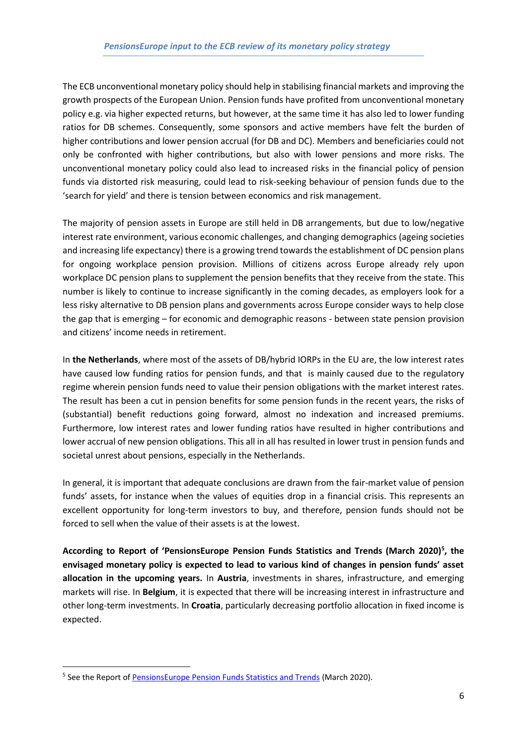The ECB unconventional monetary policy should help in stabilising financial markets and improving the growth prospects of the European Union. Pension funds have profited from unconventional monetary policy e.g. via higher expected returns, but however, at the same time it has also led to lower funding ratios for DB schemes. Consequently, some sponsors and active members have felt the burden of higher contributions and lower pension accrual (for DB and DC). Members and beneficiaries could not only be confronted with higher contributions, but also with lower pensions and more risks. The unconventional monetary policy could also lead to increased risks in the financial policy of pension funds via distorted risk measuring, could lead to risk-seeking behaviour of pension funds due to the 'search for yield' and there is tension between economics and risk management.

The majority of pension assets in Europe are still held in DB arrangements, but due to low/negative interest rate environment, various economic challenges, and changing demographics (ageing societies and increasing life expectancy) there is a growing trend towards the establishment of DC pension plans for ongoing workplace pension provision. Millions of citizens across Europe already rely upon workplace DC pension plans to supplement the pension benefits that they receive from the state. This number is likely to continue to increase significantly in the coming decades, as employers look for a less risky alternative to DB pension plans and governments across Europe consider ways to help close the gap that is emerging – for economic and demographic reasons - between state pension provision and citizens' income needs in retirement.

In **the Netherlands**, where most of the assets of DB/hybrid IORPs in the EU are, the low interest rates have caused low funding ratios for pension funds, and that is mainly caused due to the regulatory regime wherein pension funds need to value their pension obligations with the market interest rates. The result has been a cut in pension benefits for some pension funds in the recent years, the risks of (substantial) benefit reductions going forward, almost no indexation and increased premiums. Furthermore, low interest rates and lower funding ratios have resulted in higher contributions and lower accrual of new pension obligations. This all in all has resulted in lower trust in pension funds and societal unrest about pensions, especially in the Netherlands.

In general, it is important that adequate conclusions are drawn from the fair-market value of pension funds' assets, for instance when the values of equities drop in a financial crisis. This represents an excellent opportunity for long-term investors to buy, and therefore, pension funds should not be forced to sell when the value of their assets is at the lowest.

**According to Report of 'PensionsEurope Pension Funds Statistics and Trends (March 2020)<sup>5</sup> , the envisaged monetary policy is expected to lead to various kind of changes in pension funds' asset allocation in the upcoming years.** In **Austria**, investments in shares, infrastructure, and emerging markets will rise. In **Belgium**, it is expected that there will be increasing interest in infrastructure and other long-term investments. In **Croatia**, particularly decreasing portfolio allocation in fixed income is expected.

<sup>&</sup>lt;sup>5</sup> See the Report of **PensionsEurope Pension Funds Statistics and Trends** (March 2020).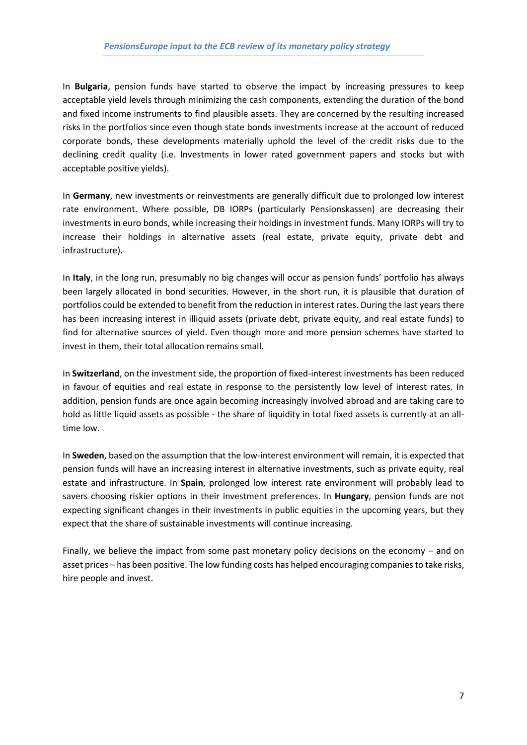In **Bulgaria**, pension funds have started to observe the impact by increasing pressures to keep acceptable yield levels through minimizing the cash components, extending the duration of the bond and fixed income instruments to find plausible assets. They are concerned by the resulting increased risks in the portfolios since even though state bonds investments increase at the account of reduced corporate bonds, these developments materially uphold the level of the credit risks due to the declining credit quality (i.e. Investments in lower rated government papers and stocks but with acceptable positive yields).

In **Germany**, new investments or reinvestments are generally difficult due to prolonged low interest rate environment. Where possible, DB IORPs (particularly Pensionskassen) are decreasing their investments in euro bonds, while increasing their holdings in investment funds. Many IORPs will try to increase their holdings in alternative assets (real estate, private equity, private debt and infrastructure).

In **Italy**, in the long run, presumably no big changes will occur as pension funds' portfolio has always been largely allocated in bond securities. However, in the short run, it is plausible that duration of portfolios could be extended to benefit from the reduction in interest rates. During the last years there has been increasing interest in illiquid assets (private debt, private equity, and real estate funds) to find for alternative sources of yield. Even though more and more pension schemes have started to invest in them, their total allocation remains small.

In **Switzerland**, on the investment side, the proportion of fixed-interest investments has been reduced in favour of equities and real estate in response to the persistently low level of interest rates. In addition, pension funds are once again becoming increasingly involved abroad and are taking care to hold as little liquid assets as possible - the share of liquidity in total fixed assets is currently at an alltime low.

In **Sweden**, based on the assumption that the low-interest environment will remain, it is expected that pension funds will have an increasing interest in alternative investments, such as private equity, real estate and infrastructure. In **Spain**, prolonged low interest rate environment will probably lead to savers choosing riskier options in their investment preferences. In **Hungary**, pension funds are not expecting significant changes in their investments in public equities in the upcoming years, but they expect that the share of sustainable investments will continue increasing.

Finally, we believe the impact from some past monetary policy decisions on the economy – and on asset prices – has been positive. The low funding costs has helped encouraging companies to take risks, hire people and invest.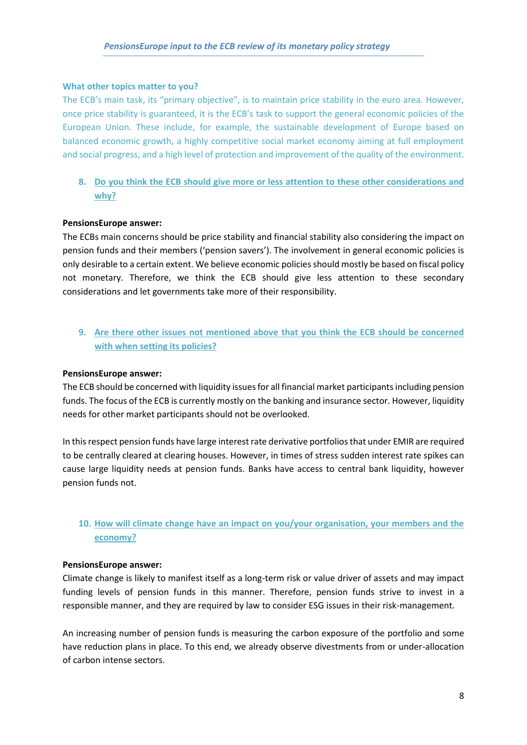#### **What other topics matter to you?**

The ECB's main task, its "primary objective", is to maintain price stability in the euro area. However, once price stability is guaranteed, it is the ECB's task to support the general economic policies of the European Union. These include, for example, the sustainable development of Europe based on balanced economic growth, a highly competitive social market economy aiming at full employment and social progress, and a high level of protection and improvement of the quality of the environment.

## **8. Do you think the ECB should give more or less attention to these other considerations and why?**

#### **PensionsEurope answer:**

The ECBs main concerns should be price stability and financial stability also considering the impact on pension funds and their members ('pension savers'). The involvement in general economic policies is only desirable to a certain extent. We believe economic policies should mostly be based on fiscal policy not monetary. Therefore, we think the ECB should give less attention to these secondary considerations and let governments take more of their responsibility.

## **9. Are there other issues not mentioned above that you think the ECB should be concerned with when setting its policies?**

#### **PensionsEurope answer:**

The ECB should be concerned with liquidity issues for all financial market participants including pension funds. The focus of the ECB is currently mostly on the banking and insurance sector. However, liquidity needs for other market participants should not be overlooked.

In this respect pension funds have large interest rate derivative portfolios that under EMIR are required to be centrally cleared at clearing houses. However, in times of stress sudden interest rate spikes can cause large liquidity needs at pension funds. Banks have access to central bank liquidity, however pension funds not.

## **10. How will climate change have an impact on you/your organisation, your members and the economy?**

#### **PensionsEurope answer:**

Climate change is likely to manifest itself as a long-term risk or value driver of assets and may impact funding levels of pension funds in this manner. Therefore, pension funds strive to invest in a responsible manner, and they are required by law to consider ESG issues in their risk-management.

An increasing number of pension funds is measuring the carbon exposure of the portfolio and some have reduction plans in place. To this end, we already observe divestments from or under-allocation of carbon intense sectors.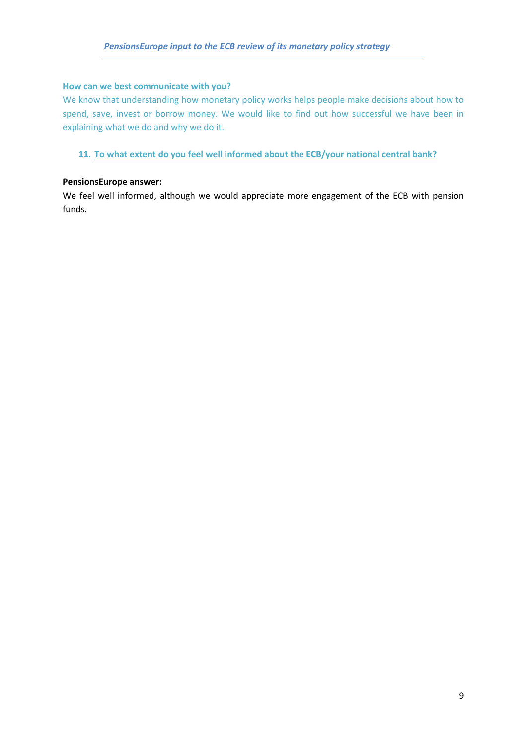#### **How can we best communicate with you?**

We know that understanding how monetary policy works helps people make decisions about how to spend, save, invest or borrow money. We would like to find out how successful we have been in explaining what we do and why we do it.

**11. To what extent do you feel well informed about the ECB/your national central bank?** 

#### **PensionsEurope answer:**

We feel well informed, although we would appreciate more engagement of the ECB with pension funds.